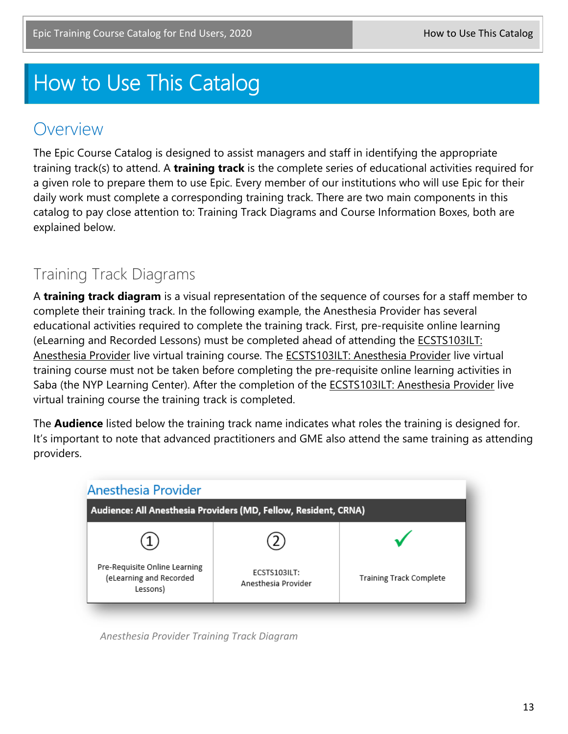## How to Use This Catalog

## Overview

The Epic Course Catalog is designed to assist managers and staff in identifying the appropriate training track(s) to attend. A **training track** is the complete series of educational activities required for a given role to prepare them to use Epic. Every member of our institutions who will use Epic for their daily work must complete a corresponding training track. There are two main components in this catalog to pay close attention to: Training Track Diagrams and Course Information Boxes, both are explained below.

## Training Track Diagrams

A **training track diagram** is a visual representation of the sequence of courses for a staff member to complete their training track. In the following example, the Anesthesia Provider has several educational activities required to complete the training track. First, pre-requisite online learning (eLearning and Recorded Lessons) must be completed ahead of attending the ECSTS103ILT: Anesthesia Provider live virtual training course. The ECSTS103ILT: Anesthesia Provider live virtual training course must not be taken before completing the pre-requisite online learning activities in Saba (the NYP Learning Center). After the completion of the ECSTS103ILT: Anesthesia Provider live virtual training course the training track is completed.

The **Audience** listed below the training track name indicates what roles the training is designed for. It's important to note that advanced practitioners and GME also attend the same training as attending providers.



*Anesthesia Provider Training Track Diagram*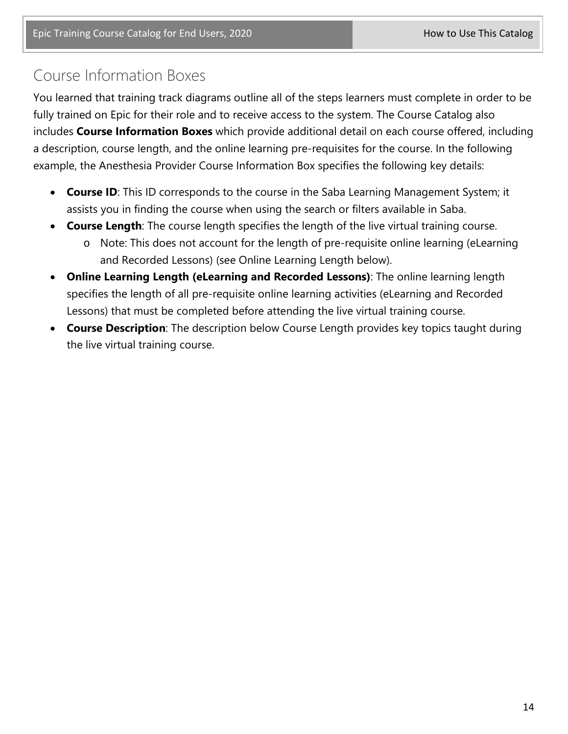## Course Information Boxes

You learned that training track diagrams outline all of the steps learners must complete in order to be fully trained on Epic for their role and to receive access to the system. The Course Catalog also includes **Course Information Boxes** which provide additional detail on each course offered, including a description, course length, and the online learning pre-requisites for the course. In the following example, the Anesthesia Provider Course Information Box specifies the following key details:

- **Course ID**: This ID corresponds to the course in the Saba Learning Management System; it assists you in finding the course when using the search or filters available in Saba.
- **Course Length**: The course length specifies the length of the live virtual training course.
	- o Note: This does not account for the length of pre-requisite online learning (eLearning and Recorded Lessons) (see Online Learning Length below).
- **Online Learning Length (eLearning and Recorded Lessons)**: The online learning length specifies the length of all pre-requisite online learning activities (eLearning and Recorded Lessons) that must be completed before attending the live virtual training course.
- **Course Description**: The description below Course Length provides key topics taught during the live virtual training course.